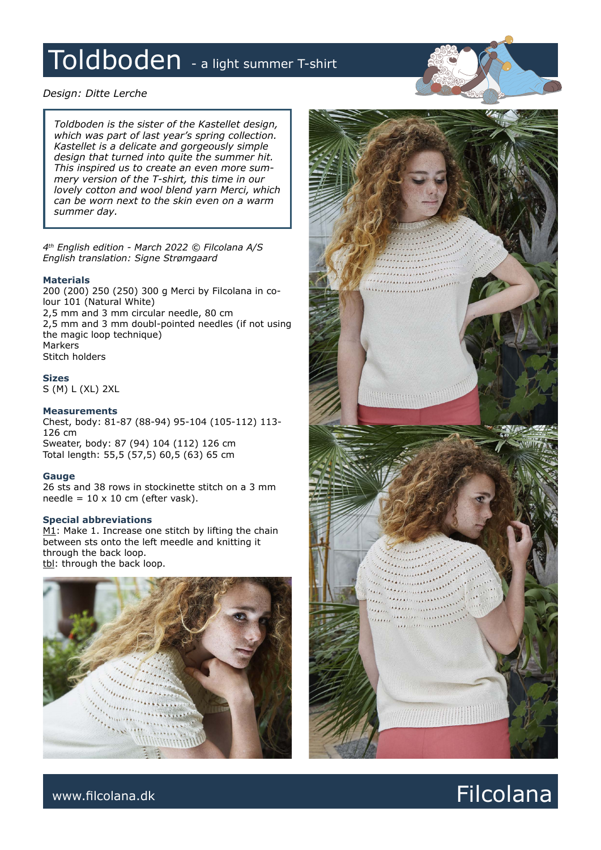# Toldboden - a light summer T-shirt

# *Design: Ditte Lerche*

*Toldboden is the sister of the Kastellet design, which was part of last year's spring collection. Kastellet is a delicate and gorgeously simple design that turned into quite the summer hit. This inspired us to create an even more summery version of the T-shirt, this time in our lovely cotton and wool blend yarn Merci, which can be worn next to the skin even on a warm summer day.*

*4th English edition - March 2022 © Filcolana A/S English translation: Signe Strømgaard*

# **Materials**

200 (200) 250 (250) 300 g Merci by Filcolana in colour 101 (Natural White) 2,5 mm and 3 mm circular needle, 80 cm 2,5 mm and 3 mm doubl-pointed needles (if not using the magic loop technique) Markers Stitch holders

**Sizes**

S (M) L (XL) 2XL

# **Measurements**

Chest, body: 81-87 (88-94) 95-104 (105-112) 113- 126 cm Sweater, body: 87 (94) 104 (112) 126 cm

Total length: 55,5 (57,5) 60,5 (63) 65 cm

# **Gauge**

26 sts and 38 rows in stockinette stitch on a 3 mm needle =  $10 \times 10$  cm (efter vask).

# **Special abbreviations**

 $M1$ : Make 1. Increase one stitch by lifting the chain between sts onto the left meedle and knitting it through the back loop. tbl: through the back loop.





# www.filcolana.dk **Filcolana.dk** Reserves and the set of the set of the set of the set of the set of the set of the set of the set of the set of the set of the set of the set of the set of the set of the set of the set of t